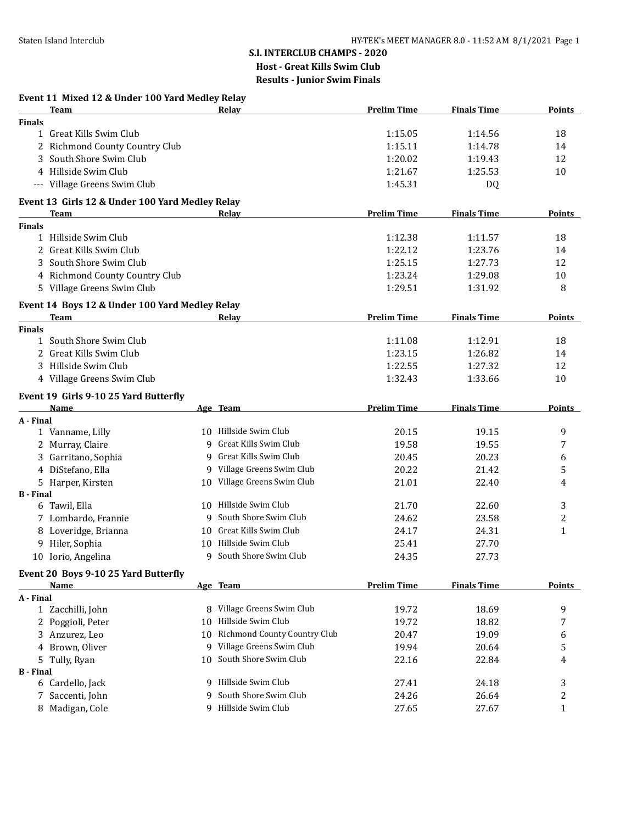# **Event 11 Mixed 12 & Under 100 Yard Medley Relay**

|                  | <b>Team</b>                                     |    | <b>Relay</b>                 | <b>Prelim Time</b> | <b>Finals Time</b> | <b>Points</b> |
|------------------|-------------------------------------------------|----|------------------------------|--------------------|--------------------|---------------|
| <b>Finals</b>    |                                                 |    |                              |                    |                    |               |
|                  | 1 Great Kills Swim Club                         |    |                              | 1:15.05            | 1:14.56            | 18            |
|                  | 2 Richmond County Country Club                  |    |                              | 1:15.11            | 1:14.78            | 14            |
| 3                | South Shore Swim Club                           |    |                              | 1:20.02            | 1:19.43            | 12            |
|                  | 4 Hillside Swim Club                            |    |                              | 1:21.67            | 1:25.53            | 10            |
|                  | --- Village Greens Swim Club                    |    |                              | 1:45.31            | DQ                 |               |
|                  | Event 13 Girls 12 & Under 100 Yard Medley Relay |    |                              |                    |                    |               |
|                  | <b>Team</b>                                     |    | Relay                        | <b>Prelim Time</b> | <b>Finals Time</b> | Points        |
| <b>Finals</b>    |                                                 |    |                              |                    |                    |               |
|                  | 1 Hillside Swim Club                            |    |                              | 1:12.38            | 1:11.57            | 18            |
|                  | 2 Great Kills Swim Club                         |    |                              | 1:22.12            | 1:23.76            | 14            |
|                  | South Shore Swim Club                           |    |                              | 1:25.15            | 1:27.73            | 12            |
|                  | 4 Richmond County Country Club                  |    |                              | 1:23.24            | 1:29.08            | 10            |
|                  | 5 Village Greens Swim Club                      |    |                              | 1:29.51            | 1:31.92            | 8             |
|                  | Event 14 Boys 12 & Under 100 Yard Medley Relay  |    |                              |                    |                    |               |
|                  | <b>Team</b>                                     |    | Relay                        | <b>Prelim Time</b> | <b>Finals Time</b> | <b>Points</b> |
| <b>Finals</b>    |                                                 |    |                              |                    |                    |               |
|                  | 1 South Shore Swim Club                         |    |                              | 1:11.08            | 1:12.91            | 18            |
|                  | 2 Great Kills Swim Club                         |    |                              | 1:23.15            | 1:26.82            | 14            |
|                  | 3 Hillside Swim Club                            |    |                              | 1:22.55            | 1:27.32            | 12            |
|                  | 4 Village Greens Swim Club                      |    |                              | 1:32.43            | 1:33.66            | 10            |
|                  | Event 19 Girls 9-10 25 Yard Butterfly           |    |                              |                    |                    |               |
|                  | Name                                            |    | Age Team                     | <b>Prelim Time</b> | <b>Finals Time</b> | <b>Points</b> |
| A - Final        |                                                 |    |                              |                    |                    |               |
|                  | 1 Vanname, Lilly                                |    | 10 Hillside Swim Club        | 20.15              | 19.15              | 9             |
|                  | 2 Murray, Claire                                |    | 9 Great Kills Swim Club      | 19.58              | 19.55              | 7             |
|                  | 3 Garritano, Sophia                             |    | 9 Great Kills Swim Club      | 20.45              | 20.23              | 6             |
|                  | 4 DiStefano, Ella                               |    | 9 Village Greens Swim Club   | 20.22              | 21.42              | 5             |
|                  | 5 Harper, Kirsten                               |    | 10 Village Greens Swim Club  | 21.01              | 22.40              | 4             |
| <b>B</b> - Final |                                                 |    |                              |                    |                    |               |
|                  | 6 Tawil, Ella                                   |    | 10 Hillside Swim Club        | 21.70              | 22.60              | 3             |
|                  | 7 Lombardo, Frannie                             |    | 9 South Shore Swim Club      | 24.62              | 23.58              | 2             |
|                  | 8 Loveridge, Brianna                            |    | 10 Great Kills Swim Club     | 24.17              | 24.31              | $\mathbf{1}$  |
|                  | 9 Hiler, Sophia                                 |    | 10 Hillside Swim Club        | 25.41              | 27.70              |               |
|                  | 10 Iorio, Angelina                              | 9  | South Shore Swim Club        | 24.35              | 27.73              |               |
|                  | Event 20 Boys 9-10 25 Yard Butterfly            |    |                              |                    |                    |               |
|                  | <u>Name</u>                                     |    | Age Team                     | <b>Prelim Time</b> | <b>Finals Time</b> | <b>Points</b> |
| A - Final        |                                                 |    |                              |                    |                    |               |
|                  | 1 Zacchilli, John                               |    | 8 Village Greens Swim Club   | 19.72              | 18.69              | 9             |
|                  | 2 Poggioli, Peter                               | 10 | Hillside Swim Club           | 19.72              | 18.82              | 7             |
|                  | 3 Anzurez, Leo                                  | 10 | Richmond County Country Club | 20.47              | 19.09              | 6             |
|                  | 4 Brown, Oliver                                 |    | 9 Village Greens Swim Club   | 19.94              | 20.64              | 5             |
|                  | 5 Tully, Ryan                                   | 10 | South Shore Swim Club        | 22.16              | 22.84              | 4             |
| <b>B</b> - Final |                                                 |    |                              |                    |                    |               |
|                  | 6 Cardello, Jack                                |    | 9 Hillside Swim Club         | 27.41              | 24.18              | 3             |
| 7.               | Saccenti, John                                  | 9  | South Shore Swim Club        | 24.26              | 26.64              | 2             |
|                  | 8 Madigan, Cole                                 |    | 9 Hillside Swim Club         | 27.65              | 27.67              | $\mathbf{1}$  |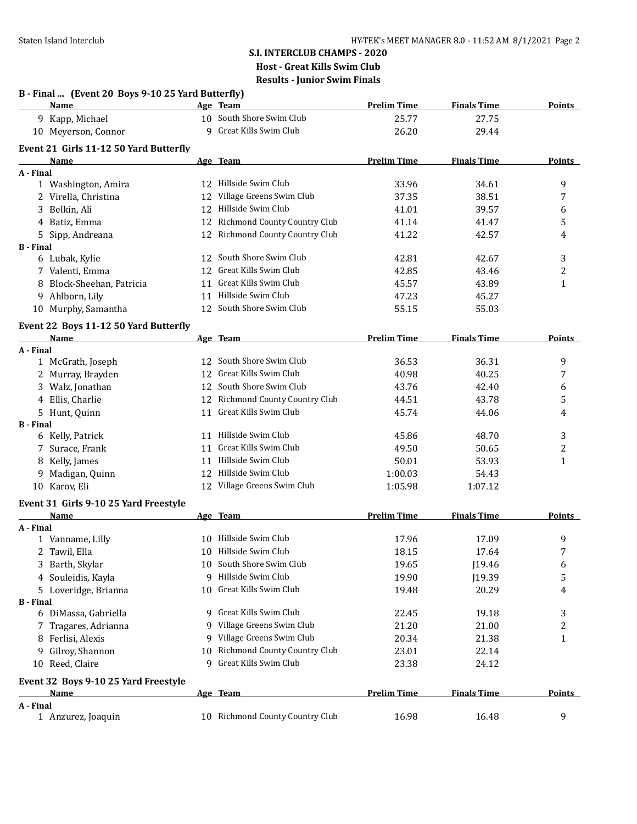|                  | B - Final  (Event 20 Boys 9-10 25 Yard Butterfly)<br><b>Name</b> |    | Age Team                            | <b>Prelim Time</b> | <b>Finals Time</b> | <b>Points</b> |
|------------------|------------------------------------------------------------------|----|-------------------------------------|--------------------|--------------------|---------------|
|                  | 9 Kapp, Michael                                                  |    | 10 South Shore Swim Club            | 25.77              | 27.75              |               |
|                  | 10 Meyerson, Connor                                              |    | 9 Great Kills Swim Club             | 26.20              | 29.44              |               |
|                  | Event 21 Girls 11-12 50 Yard Butterfly                           |    |                                     |                    |                    |               |
|                  | Name                                                             |    | Age Team                            | <b>Prelim Time</b> | <b>Finals Time</b> | <b>Points</b> |
| A - Final        |                                                                  |    |                                     |                    |                    |               |
|                  | 1 Washington, Amira                                              |    | 12 Hillside Swim Club               | 33.96              | 34.61              | 9             |
|                  | 2 Virella, Christina                                             | 12 | Village Greens Swim Club            | 37.35              | 38.51              | 7             |
|                  | 3 Belkin, Ali                                                    | 12 | Hillside Swim Club                  | 41.01              | 39.57              | 6             |
|                  | 4 Batiz, Emma                                                    | 12 | Richmond County Country Club        | 41.14              | 41.47              | 5             |
|                  | 5 Sipp, Andreana                                                 |    | 12 Richmond County Country Club     | 41.22              | 42.57              | 4             |
| <b>B</b> - Final |                                                                  |    | 12 South Shore Swim Club            |                    |                    |               |
|                  | 6 Lubak, Kylie                                                   |    | Great Kills Swim Club               | 42.81              | 42.67              | 3             |
|                  | 7 Valenti, Emma                                                  | 12 | Great Kills Swim Club               | 42.85              | 43.46              | 2             |
|                  | 8 Block-Sheehan, Patricia                                        | 11 | Hillside Swim Club                  | 45.57              | 43.89              | 1             |
|                  | 9 Ahlborn, Lily                                                  | 11 |                                     | 47.23              | 45.27              |               |
|                  | 10 Murphy, Samantha                                              |    | 12 South Shore Swim Club            | 55.15              | 55.03              |               |
|                  | Event 22 Boys 11-12 50 Yard Butterfly                            |    |                                     |                    |                    |               |
|                  | <b>Name</b>                                                      |    | Age Team                            | <b>Prelim Time</b> | <b>Finals Time</b> | Points        |
| A - Final        |                                                                  |    |                                     |                    |                    |               |
|                  | 1 McGrath, Joseph                                                |    | 12 South Shore Swim Club            | 36.53              | 36.31              | 9             |
|                  | 2 Murray, Brayden                                                |    | 12 Great Kills Swim Club            | 40.98              | 40.25              | 7             |
|                  | 3 Walz, Jonathan                                                 |    | 12 South Shore Swim Club            | 43.76              | 42.40              | 6             |
|                  | 4 Ellis, Charlie                                                 |    | 12 Richmond County Country Club     | 44.51              | 43.78              | 5             |
|                  | 5 Hunt, Quinn                                                    |    | 11 Great Kills Swim Club            | 45.74              | 44.06              | 4             |
| <b>B</b> - Final |                                                                  |    |                                     |                    |                    |               |
|                  | 6 Kelly, Patrick                                                 |    | 11 Hillside Swim Club               | 45.86              | 48.70              | 3             |
|                  | 7 Surace, Frank                                                  | 11 | Great Kills Swim Club               | 49.50              | 50.65              | 2             |
|                  | 8 Kelly, James                                                   |    | 11 Hillside Swim Club               | 50.01              | 53.93              | 1             |
| 9                | Madigan, Quinn                                                   |    | 12 Hillside Swim Club               | 1:00.03            | 54.43              |               |
|                  | 10 Karov, Eli                                                    |    | 12 Village Greens Swim Club         | 1:05.98            | 1:07.12            |               |
|                  | Event 31 Girls 9-10 25 Yard Freestyle                            |    |                                     |                    |                    |               |
|                  | Name                                                             |    | Age Team                            | <b>Prelim Time</b> | <b>Finals Time</b> | <b>Points</b> |
| A - Final        |                                                                  |    |                                     |                    |                    |               |
|                  | 1 Vanname, Lilly                                                 |    | 10 Hillside Swim Club               | 17.96              | 17.09              | 9             |
|                  | 2 Tawil, Ella                                                    |    | 10 Hillside Swim Club               | 18.15              | 17.64              | 7             |
|                  | 3 Barth, Skylar                                                  |    | 10 South Shore Swim Club            | 19.65              | J19.46             | 6             |
|                  | 4 Souleidis, Kayla                                               | 9  | Hillside Swim Club                  | 19.90              | J19.39             | 5             |
|                  | 5 Loveridge, Brianna                                             |    | 10 Great Kills Swim Club            | 19.48              | 20.29              | 4             |
| <b>B</b> - Final |                                                                  |    |                                     |                    |                    |               |
|                  | 6 DiMassa, Gabriella                                             |    | 9 Great Kills Swim Club             | 22.45              | 19.18              | 3             |
|                  | 7 Tragares, Adrianna                                             | 9. | Village Greens Swim Club            | 21.20              | 21.00              | 2             |
|                  | 8 Ferlisi, Alexis                                                |    | 9 Village Greens Swim Club          | 20.34              | 21.38              | $\mathbf{1}$  |
| 9                | Gilroy, Shannon                                                  | 10 | <b>Richmond County Country Club</b> | 23.01              | 22.14              |               |
|                  | 10 Reed, Claire                                                  |    | 9 Great Kills Swim Club             | 23.38              | 24.12              |               |
|                  | Event 32 Boys 9-10 25 Yard Freestyle                             |    |                                     |                    |                    |               |
|                  | <b>Name</b>                                                      |    | Age Team                            | <b>Prelim Time</b> | <b>Finals Time</b> | <b>Points</b> |
| A - Final        |                                                                  |    |                                     |                    |                    |               |
|                  | 1 Anzurez, Joaquin                                               |    | 10 Richmond County Country Club     | 16.98              | 16.48              | 9             |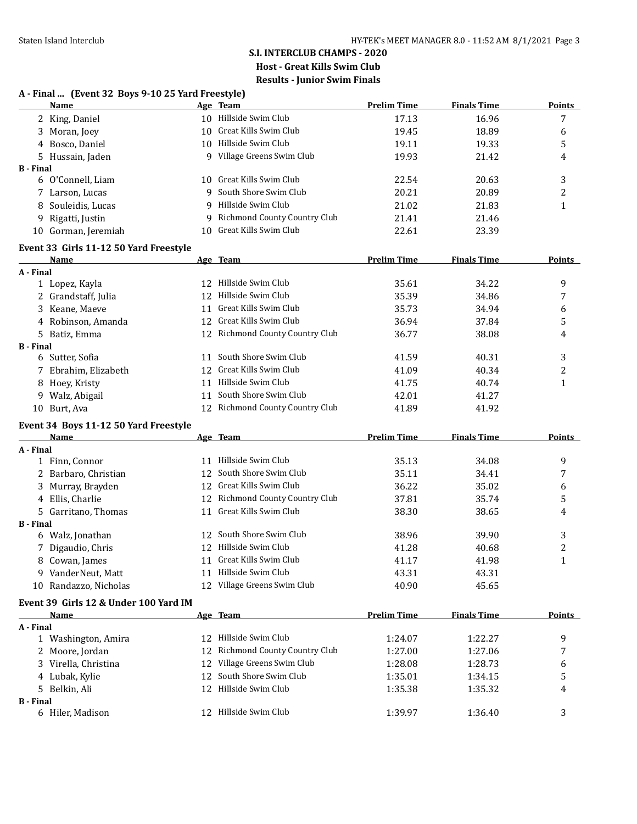### **S.I. INTERCLUB CHAMPS - 2020 Host - Great Kills Swim Club Results - Junior Swim Finals A - Final ... (Event 32 Boys 9-10 25 Yard Freestyle)**

|                  | <b>Name</b>                            |    | Age Team                        | <b>Prelim Time</b> | <b>Finals Time</b> | <b>Points</b>    |
|------------------|----------------------------------------|----|---------------------------------|--------------------|--------------------|------------------|
|                  | 2 King, Daniel                         |    | 10 Hillside Swim Club           | 17.13              | 16.96              | 7                |
|                  | 3 Moran, Joey                          |    | 10 Great Kills Swim Club        | 19.45              | 18.89              | 6                |
|                  | 4 Bosco, Daniel                        |    | 10 Hillside Swim Club           | 19.11              | 19.33              | 5                |
|                  | 5 Hussain, Jaden                       |    | 9 Village Greens Swim Club      | 19.93              | 21.42              | 4                |
| <b>B</b> - Final |                                        |    |                                 |                    |                    |                  |
|                  | 6 O'Connell, Liam                      |    | 10 Great Kills Swim Club        | 22.54              | 20.63              | 3                |
|                  | 7 Larson, Lucas                        |    | 9 South Shore Swim Club         | 20.21              | 20.89              | 2                |
| 8                | Souleidis, Lucas                       |    | 9 Hillside Swim Club            | 21.02              | 21.83              | $\mathbf{1}$     |
|                  | 9 Rigatti, Justin                      |    | 9 Richmond County Country Club  | 21.41              | 21.46              |                  |
|                  | 10 Gorman, Jeremiah                    |    | 10 Great Kills Swim Club        | 22.61              | 23.39              |                  |
|                  | Event 33 Girls 11-12 50 Yard Freestyle |    |                                 |                    |                    |                  |
|                  | Name                                   |    | Age Team                        | <b>Prelim Time</b> | <b>Finals Time</b> | <b>Points</b>    |
| A - Final        |                                        |    |                                 |                    |                    |                  |
|                  | 1 Lopez, Kayla                         |    | 12 Hillside Swim Club           | 35.61              | 34.22              | 9                |
|                  | 2 Grandstaff, Julia                    |    | 12 Hillside Swim Club           | 35.39              | 34.86              | 7                |
|                  | 3 Keane, Maeve                         | 11 | Great Kills Swim Club           | 35.73              | 34.94              | 6                |
|                  | 4 Robinson, Amanda                     |    | 12 Great Kills Swim Club        | 36.94              | 37.84              | 5                |
|                  | 5 Batiz, Emma                          |    | 12 Richmond County Country Club | 36.77              | 38.08              | 4                |
| <b>B</b> - Final |                                        |    |                                 |                    |                    |                  |
|                  | 6 Sutter, Sofia                        | 11 | South Shore Swim Club           | 41.59              | 40.31              | 3                |
|                  | 7 Ebrahim, Elizabeth                   | 12 | Great Kills Swim Club           | 41.09              | 40.34              | 2                |
|                  | 8 Hoey, Kristy                         | 11 | Hillside Swim Club              | 41.75              | 40.74              | $\mathbf{1}$     |
|                  | 9 Walz, Abigail                        | 11 | South Shore Swim Club           | 42.01              | 41.27              |                  |
|                  | 10 Burt, Ava                           |    | 12 Richmond County Country Club | 41.89              | 41.92              |                  |
|                  | Event 34 Boys 11-12 50 Yard Freestyle  |    |                                 |                    |                    |                  |
|                  | <u>Name</u>                            |    | Age Team                        | <b>Prelim Time</b> | <b>Finals Time</b> | <b>Points</b>    |
| A - Final        |                                        |    |                                 |                    |                    |                  |
|                  | 1 Finn, Connor                         |    | 11 Hillside Swim Club           | 35.13              | 34.08              | 9                |
|                  | 2 Barbaro, Christian                   |    | 12 South Shore Swim Club        | 35.11              | 34.41              | 7                |
|                  | 3 Murray, Brayden                      |    | 12 Great Kills Swim Club        | 36.22              | 35.02              | 6                |
|                  | 4 Ellis, Charlie                       |    | 12 Richmond County Country Club | 37.81              | 35.74              | 5                |
|                  | 5 Garritano, Thomas                    |    | 11 Great Kills Swim Club        | 38.30              | 38.65              | 4                |
| <b>B</b> - Final |                                        |    |                                 |                    |                    |                  |
|                  | 6 Walz, Jonathan                       |    | 12 South Shore Swim Club        | 38.96              | 39.90              | 3                |
|                  | 7 Digaudio, Chris                      |    | 12 Hillside Swim Club           | 41.28              | 40.68              | $\boldsymbol{2}$ |
|                  | 8 Cowan, James                         |    | 11 Great Kills Swim Club        | 41.17              | 41.98              | $\mathbf{1}$     |
|                  | 9 VanderNeut, Matt                     |    | 11 Hillside Swim Club           | 43.31              | 43.31              |                  |
|                  | 10 Randazzo, Nicholas                  |    | 12 Village Greens Swim Club     | 40.90              | 45.65              |                  |
|                  | Event 39 Girls 12 & Under 100 Yard IM  |    |                                 |                    |                    |                  |
|                  | Name                                   |    | <u>Age Team</u>                 | <b>Prelim Time</b> | <b>Finals Time</b> | <b>Points</b>    |
| A - Final        |                                        |    |                                 |                    |                    |                  |
|                  | 1 Washington, Amira                    |    | 12 Hillside Swim Club           | 1:24.07            | 1:22.27            | 9                |
|                  | 2 Moore, Jordan                        | 12 | Richmond County Country Club    | 1:27.00            | 1:27.06            | 7                |
|                  | 3 Virella, Christina                   | 12 | Village Greens Swim Club        | 1:28.08            | 1:28.73            | 6                |
|                  | 4 Lubak, Kylie                         | 12 | South Shore Swim Club           | 1:35.01            | 1:34.15            | 5                |
|                  | 5 Belkin, Ali                          | 12 | Hillside Swim Club              | 1:35.38            | 1:35.32            | 4                |
| <b>B</b> - Final |                                        |    |                                 |                    |                    |                  |
|                  | 6 Hiler, Madison                       |    | 12 Hillside Swim Club           | 1:39.97            | 1:36.40            | 3                |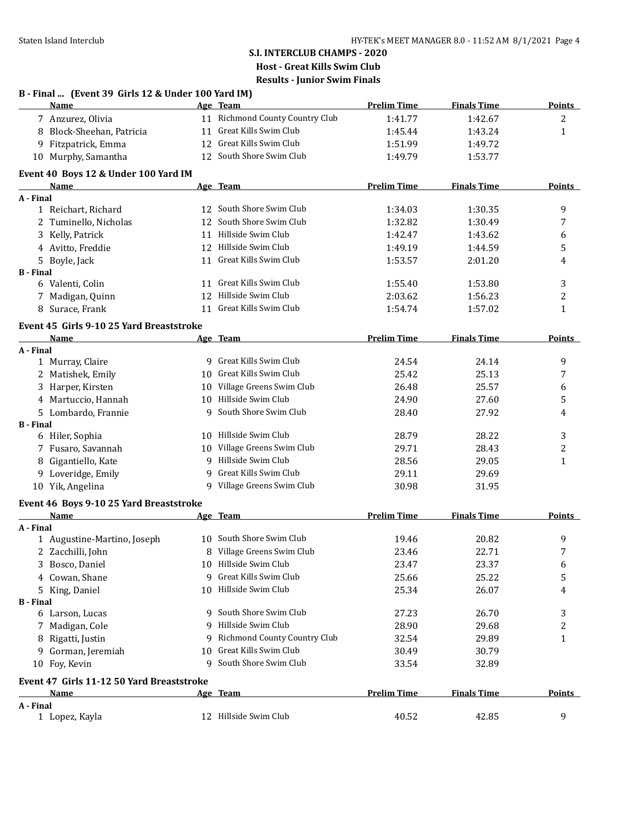### **S.I. INTERCLUB CHAMPS - 2020 Host - Great Kills Swim Club Results - Junior Swim Finals B - Final ... (Event 39 Girls 12 & Under 100 Yard IM)**

|                  | <b>Name</b>                               |    | Age Team                        | <b>Prelim Time</b> | <b>Finals Time</b> | <b>Points</b>  |
|------------------|-------------------------------------------|----|---------------------------------|--------------------|--------------------|----------------|
|                  | 7 Anzurez, Olivia                         |    | 11 Richmond County Country Club | 1:41.77            | 1:42.67            | $\overline{c}$ |
|                  | 8 Block-Sheehan, Patricia                 | 11 | Great Kills Swim Club           | 1:45.44            | 1:43.24            | $\mathbf{1}$   |
|                  | 9 Fitzpatrick, Emma                       |    | 12 Great Kills Swim Club        | 1:51.99            | 1:49.72            |                |
|                  | 10 Murphy, Samantha                       |    | 12 South Shore Swim Club        | 1:49.79            | 1:53.77            |                |
|                  | Event 40 Boys 12 & Under 100 Yard IM      |    |                                 |                    |                    |                |
|                  | <u>Name</u>                               |    | Age Team                        | <b>Prelim Time</b> | <b>Finals Time</b> | <b>Points</b>  |
| A - Final        |                                           |    |                                 |                    |                    |                |
|                  | 1 Reichart, Richard                       |    | 12 South Shore Swim Club        | 1:34.03            | 1:30.35            | 9              |
|                  | 2 Tuminello, Nicholas                     |    | 12 South Shore Swim Club        | 1:32.82            | 1:30.49            | 7              |
|                  | 3 Kelly, Patrick                          |    | 11 Hillside Swim Club           | 1:42.47            | 1:43.62            | 6              |
|                  | 4 Avitto, Freddie                         |    | 12 Hillside Swim Club           | 1:49.19            | 1:44.59            | 5              |
|                  | 5 Boyle, Jack                             |    | 11 Great Kills Swim Club        | 1:53.57            | 2:01.20            | 4              |
| <b>B</b> - Final |                                           |    |                                 |                    |                    |                |
|                  | 6 Valenti, Colin                          |    | 11 Great Kills Swim Club        | 1:55.40            | 1:53.80            | 3              |
|                  | 7 Madigan, Quinn                          |    | 12 Hillside Swim Club           | 2:03.62            | 1:56.23            | $\overline{c}$ |
|                  | 8 Surace, Frank                           |    | 11 Great Kills Swim Club        | 1:54.74            | 1:57.02            | $\mathbf{1}$   |
|                  | Event 45 Girls 9-10 25 Yard Breaststroke  |    |                                 |                    |                    |                |
|                  | <u>Name</u>                               |    | Age Team                        | <b>Prelim Time</b> | <b>Finals Time</b> | <b>Points</b>  |
| A - Final        |                                           |    |                                 |                    |                    |                |
|                  | 1 Murray, Claire                          |    | 9 Great Kills Swim Club         | 24.54              | 24.14              | 9              |
|                  | 2 Matishek, Emily                         |    | 10 Great Kills Swim Club        | 25.42              | 25.13              | 7              |
|                  | 3 Harper, Kirsten                         |    | 10 Village Greens Swim Club     | 26.48              | 25.57              | 6              |
|                  | 4 Martuccio, Hannah                       |    | 10 Hillside Swim Club           | 24.90              | 27.60              | 5              |
|                  | 5 Lombardo, Frannie                       |    | 9 South Shore Swim Club         | 28.40              | 27.92              | 4              |
| <b>B</b> - Final |                                           |    |                                 |                    |                    |                |
|                  | 6 Hiler, Sophia                           |    | 10 Hillside Swim Club           | 28.79              | 28.22              | 3              |
|                  | 7 Fusaro, Savannah                        |    | 10 Village Greens Swim Club     | 29.71              | 28.43              | 2              |
|                  | 8 Gigantiello, Kate                       |    | 9 Hillside Swim Club            | 28.56              | 29.05              | $\mathbf{1}$   |
|                  | 9 Loveridge, Emily                        | 9  | Great Kills Swim Club           | 29.11              | 29.69              |                |
|                  | 10 Yik, Angelina                          |    | 9 Village Greens Swim Club      | 30.98              | 31.95              |                |
|                  | Event 46 Boys 9-10 25 Yard Breaststroke   |    |                                 |                    |                    |                |
|                  | Name                                      |    | Age Team                        | <b>Prelim Time</b> | <b>Finals Time</b> | <b>Points</b>  |
| A - Final        |                                           |    |                                 |                    |                    |                |
|                  | 1 Augustine-Martino, Joseph               |    | 10 South Shore Swim Club        | 19.46              | 20.82              | 9              |
|                  | 2 Zacchilli, John                         |    | 8 Village Greens Swim Club      | 23.46              | 22.71              | 7              |
|                  | 3 Bosco, Daniel                           |    | 10 Hillside Swim Club           | 23.47              | 23.37              | 6              |
|                  | 4 Cowan, Shane                            |    | 9 Great Kills Swim Club         | 25.66              | 25.22              | 5              |
|                  | 5 King, Daniel                            |    | 10 Hillside Swim Club           | 25.34              | 26.07              | 4              |
| <b>B</b> - Final |                                           |    |                                 |                    |                    |                |
|                  | 6 Larson, Lucas                           |    | 9 South Shore Swim Club         | 27.23              | 26.70              | 3              |
|                  | 7 Madigan, Cole                           |    | 9 Hillside Swim Club            | 28.90              | 29.68              | 2              |
|                  | 8 Rigatti, Justin                         |    | 9 Richmond County Country Club  | 32.54              | 29.89              | 1              |
|                  | 9 Gorman, Jeremiah                        | 10 | Great Kills Swim Club           | 30.49              | 30.79              |                |
|                  | 10 Foy, Kevin                             |    | 9 South Shore Swim Club         | 33.54              | 32.89              |                |
|                  | Event 47 Girls 11-12 50 Yard Breaststroke |    |                                 |                    |                    |                |
|                  | Name                                      |    | Age Team                        | <b>Prelim Time</b> | <b>Finals Time</b> | <b>Points</b>  |
| A - Final        |                                           |    |                                 |                    |                    |                |
|                  | 1 Lopez, Kayla                            |    | 12 Hillside Swim Club           | 40.52              | 42.85              | 9              |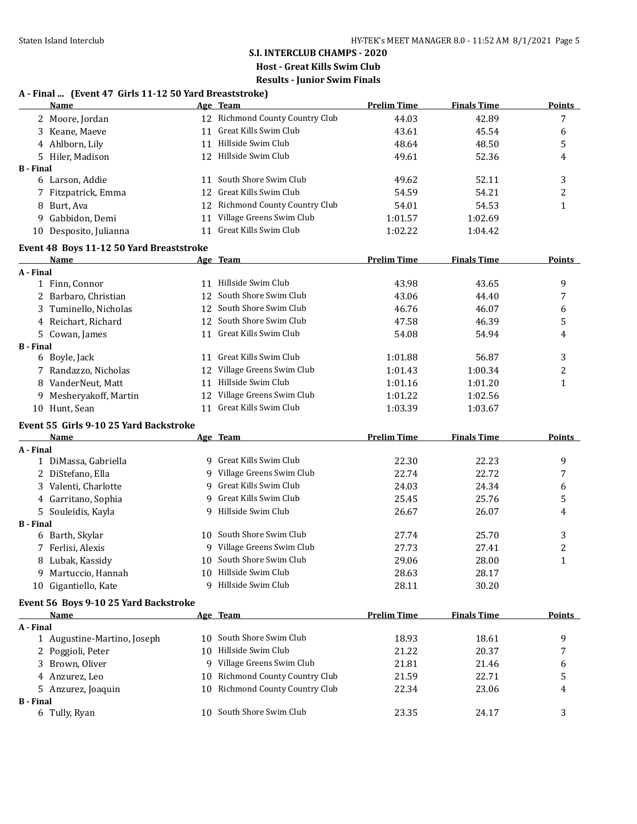#### **A - Final ... (Event 47 Girls 11-12 50 Yard Breaststroke)**

|                  | <b>Name</b>                              |    | Age Team                                               | <b>Prelim Time</b> | <b>Finals Time</b> | <b>Points</b> |
|------------------|------------------------------------------|----|--------------------------------------------------------|--------------------|--------------------|---------------|
|                  | 2 Moore, Jordan                          |    | 12 Richmond County Country Club                        | 44.03              | 42.89              | 7             |
|                  | 3 Keane, Maeve                           | 11 | Great Kills Swim Club                                  | 43.61              | 45.54              | 6             |
|                  | 4 Ahlborn, Lily                          |    | 11 Hillside Swim Club                                  | 48.64              | 48.50              | 5             |
|                  | 5 Hiler, Madison                         |    | 12 Hillside Swim Club                                  | 49.61              | 52.36              | 4             |
| <b>B</b> - Final |                                          |    |                                                        |                    |                    |               |
|                  | 6 Larson, Addie                          | 11 | South Shore Swim Club                                  | 49.62              | 52.11              | 3             |
|                  | 7 Fitzpatrick, Emma                      | 12 | Great Kills Swim Club                                  | 54.59              | 54.21              | 2             |
|                  | 8 Burt, Ava                              |    | 12 Richmond County Country Club                        | 54.01              | 54.53              | 1             |
|                  | 9 Gabbidon, Demi                         | 11 | Village Greens Swim Club                               | 1:01.57            | 1:02.69            |               |
|                  | 10 Desposito, Julianna                   | 11 | Great Kills Swim Club                                  | 1:02.22            | 1:04.42            |               |
|                  | Event 48 Boys 11-12 50 Yard Breaststroke |    |                                                        |                    |                    |               |
|                  | <b>Name</b>                              |    | Age Team                                               | <b>Prelim Time</b> | <b>Finals Time</b> | <b>Points</b> |
| A - Final        |                                          |    |                                                        |                    |                    |               |
|                  | 1 Finn, Connor                           |    | 11 Hillside Swim Club                                  | 43.98              | 43.65              | 9             |
|                  | 2 Barbaro, Christian                     |    | 12 South Shore Swim Club                               | 43.06              | 44.40              | 7             |
|                  | 3 Tuminello, Nicholas                    |    | 12 South Shore Swim Club                               | 46.76              | 46.07              | 6             |
|                  | 4 Reichart, Richard                      |    | 12 South Shore Swim Club                               | 47.58              | 46.39              | 5             |
|                  | 5 Cowan, James                           |    | 11 Great Kills Swim Club                               | 54.08              | 54.94              | 4             |
| <b>B</b> - Final |                                          |    |                                                        |                    |                    |               |
|                  | 6 Boyle, Jack                            |    | 11 Great Kills Swim Club                               | 1:01.88            | 56.87              | 3             |
|                  | 7 Randazzo, Nicholas                     |    | 12 Village Greens Swim Club                            | 1:01.43            | 1:00.34            | 2             |
|                  | 8 VanderNeut, Matt                       | 11 | Hillside Swim Club                                     | 1:01.16            | 1:01.20            | 1             |
|                  | 9 Mesheryakoff, Martin                   |    | 12 Village Greens Swim Club                            | 1:01.22            | 1:02.56            |               |
|                  | 10 Hunt, Sean                            |    | 11 Great Kills Swim Club                               | 1:03.39            | 1:03.67            |               |
|                  | Event 55 Girls 9-10 25 Yard Backstroke   |    |                                                        |                    |                    |               |
|                  | Name                                     |    | Age Team                                               | <b>Prelim Time</b> | <b>Finals Time</b> | Points        |
| A - Final        |                                          |    |                                                        |                    |                    |               |
|                  | 1 DiMassa, Gabriella                     |    | 9 Great Kills Swim Club                                | 22.30              | 22.23              | 9             |
|                  | 2 DiStefano, Ella                        |    | 9 Village Greens Swim Club                             | 22.74              | 22.72              | 7             |
|                  | 3 Valenti, Charlotte                     |    | 9 Great Kills Swim Club                                | 24.03              | 24.34              | 6             |
|                  | 4 Garritano, Sophia                      |    | 9 Great Kills Swim Club                                | 25.45              | 25.76              | 5             |
|                  | 5 Souleidis, Kayla                       |    | 9 Hillside Swim Club                                   | 26.67              | 26.07              | 4             |
| <b>B</b> - Final |                                          |    |                                                        |                    |                    |               |
|                  | 6 Barth, Skylar                          |    | 10 South Shore Swim Club                               | 27.74              | 25.70              | 3             |
|                  | 7 Ferlisi, Alexis                        |    | 9 Village Greens Swim Club<br>10 South Shore Swim Club | 27.73              | 27.41              | 2             |
|                  | 8 Lubak, Kassidy                         |    |                                                        | 29.06              | 28.00              | $\mathbf{1}$  |
|                  | 9 Martuccio, Hannah                      |    | 10 Hillside Swim Club<br>Hillside Swim Club            | 28.63              | 28.17              |               |
|                  | 10 Gigantiello, Kate                     | 9  |                                                        | 28.11              | 30.20              |               |
|                  | Event 56 Boys 9-10 25 Yard Backstroke    |    |                                                        |                    |                    |               |
|                  | <u>Name</u>                              |    | Age Team                                               | <b>Prelim Time</b> | <b>Finals Time</b> | <b>Points</b> |
| A - Final        |                                          |    | 10 South Shore Swim Club                               |                    |                    | 9             |
|                  | 1 Augustine-Martino, Joseph              |    | Hillside Swim Club                                     | 18.93              | 18.61              |               |
|                  | 2 Poggioli, Peter                        | 10 | 9 Village Greens Swim Club                             | 21.22              | 20.37              | 7             |
|                  | 3 Brown, Oliver                          |    | <b>Richmond County Country Club</b>                    | 21.81              | 21.46              | 6             |
|                  | 4 Anzurez, Leo                           | 10 | Richmond County Country Club                           | 21.59              | 22.71              | 5             |
| <b>B</b> - Final | 5 Anzurez, Joaquin                       | 10 |                                                        | 22.34              | 23.06              | 4             |
|                  | 6 Tully, Ryan                            |    | 10 South Shore Swim Club                               | 23.35              | 24.17              | 3             |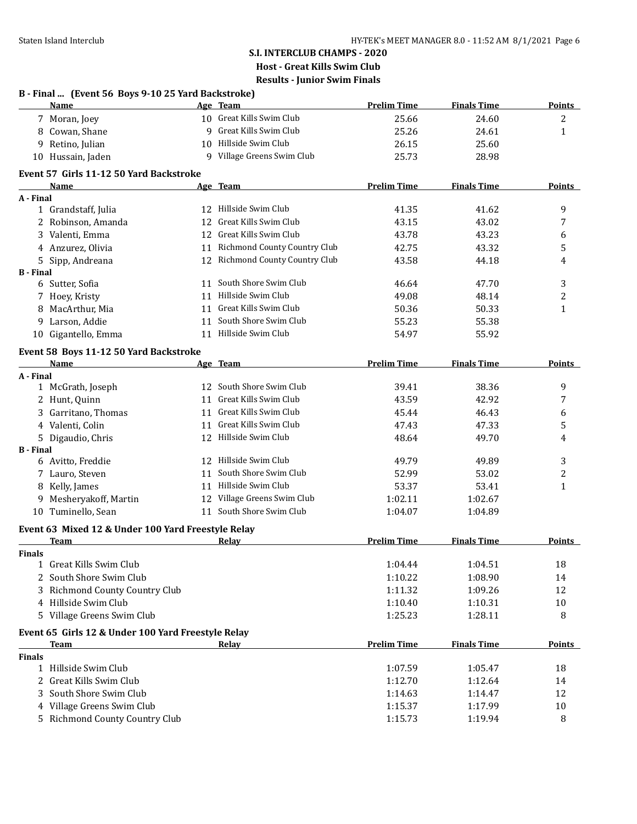|                  | B - Final  (Event 56 Boys 9-10 25 Yard Backstroke)<br>Name |    | Age Team                        | <b>Prelim Time</b> | <b>Finals Time</b> | <b>Points</b>  |
|------------------|------------------------------------------------------------|----|---------------------------------|--------------------|--------------------|----------------|
|                  | 7 Moran, Joey                                              |    | 10 Great Kills Swim Club        | 25.66              | 24.60              | 2              |
|                  | 8 Cowan, Shane                                             |    | 9 Great Kills Swim Club         | 25.26              | 24.61              | $\mathbf{1}$   |
|                  | 9 Retino, Julian                                           |    | 10 Hillside Swim Club           | 26.15              | 25.60              |                |
|                  | 10 Hussain, Jaden                                          |    | 9 Village Greens Swim Club      | 25.73              | 28.98              |                |
|                  | Event 57 Girls 11-12 50 Yard Backstroke                    |    |                                 |                    |                    |                |
|                  | Name                                                       |    | Age Team                        | <b>Prelim Time</b> | <b>Finals Time</b> | <b>Points</b>  |
| A - Final        |                                                            |    |                                 |                    |                    |                |
|                  | 1 Grandstaff, Julia                                        |    | 12 Hillside Swim Club           | 41.35              | 41.62              | 9              |
|                  | 2 Robinson, Amanda                                         |    | 12 Great Kills Swim Club        | 43.15              | 43.02              | 7              |
|                  | 3 Valenti, Emma                                            |    | 12 Great Kills Swim Club        | 43.78              | 43.23              | 6              |
|                  | 4 Anzurez, Olivia                                          |    | 11 Richmond County Country Club | 42.75              | 43.32              | 5              |
|                  | 5 Sipp, Andreana                                           |    | 12 Richmond County Country Club | 43.58              | 44.18              | 4              |
| <b>B</b> - Final | 6 Sutter, Sofia                                            |    | 11 South Shore Swim Club        | 46.64              | 47.70              | 3              |
|                  |                                                            |    | 11 Hillside Swim Club           | 49.08              |                    |                |
|                  | 7 Hoey, Kristy                                             |    | 11 Great Kills Swim Club        |                    | 48.14              | $\overline{c}$ |
|                  | 8 MacArthur, Mia                                           |    | 11 South Shore Swim Club        | 50.36              | 50.33              | $\mathbf{1}$   |
| 9.               | Larson, Addie                                              |    |                                 | 55.23              | 55.38              |                |
|                  | 10 Gigantello, Emma                                        |    | 11 Hillside Swim Club           | 54.97              | 55.92              |                |
|                  | Event 58 Boys 11-12 50 Yard Backstroke                     |    |                                 |                    |                    |                |
|                  | <b>Name</b>                                                |    | Age Team                        | <b>Prelim Time</b> | <b>Finals Time</b> | <b>Points</b>  |
| A - Final        |                                                            |    | 12 South Shore Swim Club        |                    |                    |                |
|                  | 1 McGrath, Joseph                                          |    | 11 Great Kills Swim Club        | 39.41              | 38.36              | 9              |
|                  | 2 Hunt, Quinn                                              |    |                                 | 43.59              | 42.92              | 7              |
|                  | 3 Garritano, Thomas                                        |    | 11 Great Kills Swim Club        | 45.44              | 46.43              | 6              |
|                  | 4 Valenti, Colin                                           |    | 11 Great Kills Swim Club        | 47.43              | 47.33              | 5              |
|                  | 5 Digaudio, Chris                                          |    | 12 Hillside Swim Club           | 48.64              | 49.70              | 4              |
| <b>B</b> - Final | 6 Avitto, Freddie                                          |    | 12 Hillside Swim Club           | 49.79              | 49.89              | 3              |
|                  | 7 Lauro, Steven                                            | 11 | South Shore Swim Club           | 52.99              | 53.02              | 2              |
| 8                | Kelly, James                                               |    | 11 Hillside Swim Club           | 53.37              | 53.41              | $\mathbf{1}$   |
| 9                | Mesheryakoff, Martin                                       |    | 12 Village Greens Swim Club     | 1:02.11            | 1:02.67            |                |
|                  | 10 Tuminello, Sean                                         |    | 11 South Shore Swim Club        | 1:04.07            | 1:04.89            |                |
|                  |                                                            |    |                                 |                    |                    |                |
|                  | Event 63 Mixed 12 & Under 100 Yard Freestyle Relay<br>Team |    | <u>Relav</u>                    | <b>Prelim Time</b> | <b>Finals Time</b> | <b>Points</b>  |
| <b>Finals</b>    |                                                            |    |                                 |                    |                    |                |
|                  | 1 Great Kills Swim Club                                    |    |                                 | 1:04.44            | 1:04.51            | 18             |
|                  | 2 South Shore Swim Club                                    |    |                                 | 1:10.22            | 1:08.90            | 14             |
|                  | 3 Richmond County Country Club                             |    |                                 | 1:11.32            | 1:09.26            | 12             |
|                  | 4 Hillside Swim Club                                       |    |                                 | 1:10.40            | 1:10.31            | 10             |
|                  | 5 Village Greens Swim Club                                 |    |                                 | 1:25.23            | 1:28.11            | 8              |
|                  | Event 65 Girls 12 & Under 100 Yard Freestyle Relay         |    |                                 |                    |                    |                |
|                  | <b>Team</b>                                                |    | <b>Relay</b>                    | <b>Prelim Time</b> | <b>Finals Time</b> | <b>Points</b>  |
| <b>Finals</b>    |                                                            |    |                                 |                    |                    |                |
|                  | 1 Hillside Swim Club                                       |    |                                 | 1:07.59            | 1:05.47            | 18             |
|                  | 2 Great Kills Swim Club                                    |    |                                 | 1:12.70            | 1:12.64            | 14             |
|                  | 3 South Shore Swim Club                                    |    |                                 | 1:14.63            | 1:14.47            | 12             |
|                  | 4 Village Greens Swim Club                                 |    |                                 | 1:15.37            | 1:17.99            | 10             |
|                  | 5 Richmond County Country Club                             |    |                                 | 1:15.73            | 1:19.94            | 8              |